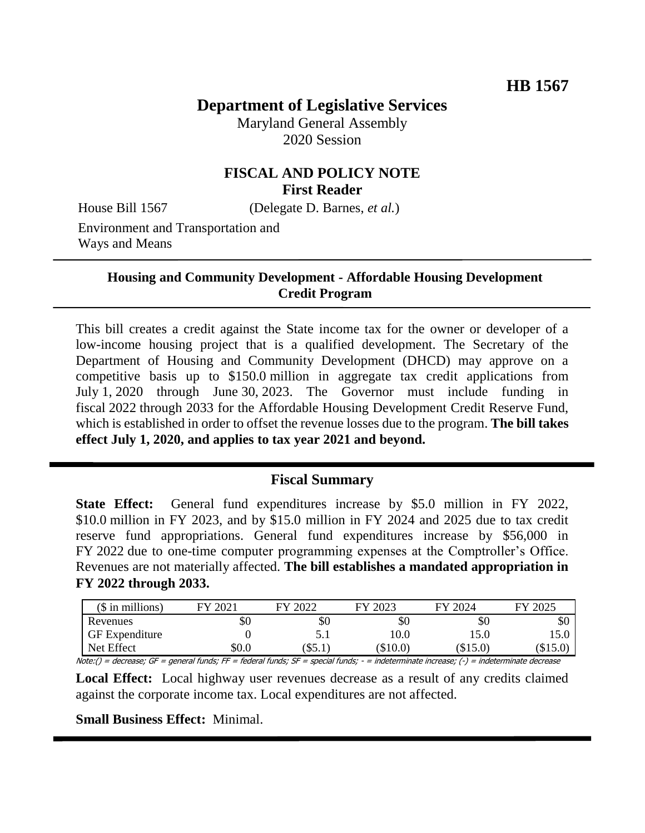# **Department of Legislative Services**

Maryland General Assembly 2020 Session

## **FISCAL AND POLICY NOTE First Reader**

House Bill 1567 (Delegate D. Barnes, *et al.*)

Environment and Transportation and Ways and Means

#### **Housing and Community Development - Affordable Housing Development Credit Program**

This bill creates a credit against the State income tax for the owner or developer of a low-income housing project that is a qualified development. The Secretary of the Department of Housing and Community Development (DHCD) may approve on a competitive basis up to \$150.0 million in aggregate tax credit applications from July 1, 2020 through June 30, 2023. The Governor must include funding in fiscal 2022 through 2033 for the Affordable Housing Development Credit Reserve Fund, which is established in order to offset the revenue losses due to the program. **The bill takes effect July 1, 2020, and applies to tax year 2021 and beyond.**

## **Fiscal Summary**

**State Effect:** General fund expenditures increase by \$5.0 million in FY 2022, \$10.0 million in FY 2023, and by \$15.0 million in FY 2024 and 2025 due to tax credit reserve fund appropriations. General fund expenditures increase by \$56,000 in FY 2022 due to one-time computer programming expenses at the Comptroller's Office. Revenues are not materially affected. **The bill establishes a mandated appropriation in FY 2022 through 2033.**

| $($$ in millions) | 202<br>FУ | 12022<br>FV. | 2023<br>FV | 12024<br>FY | 2025<br>FV |
|-------------------|-----------|--------------|------------|-------------|------------|
| Revenues          | Y0        | ъU           | \$0        | \$0         | \$0        |
| GF Expenditure    |           | J.I          | 10.0       | 15.0        | 15.0       |
| Net Effect        | \$0.0     | J.J.1        | $(\$10.0)$ | $(\$15.0)$  | $(\$15.0)$ |

Note:() = decrease; GF = general funds; FF = federal funds; SF = special funds; - = indeterminate increase; (-) = indeterminate decrease

**Local Effect:** Local highway user revenues decrease as a result of any credits claimed against the corporate income tax. Local expenditures are not affected.

#### **Small Business Effect:** Minimal.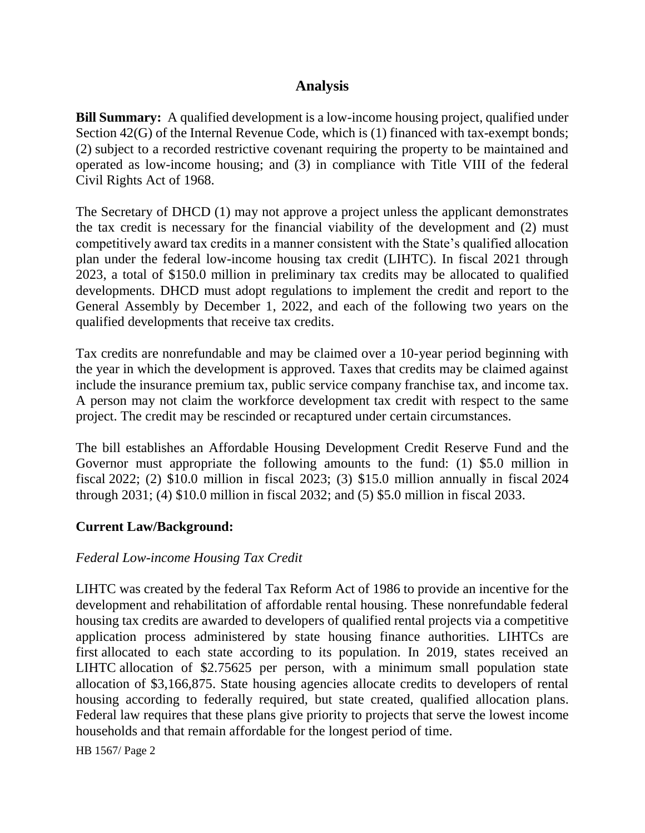# **Analysis**

**Bill Summary:** A qualified development is a low-income housing project, qualified under Section 42(G) of the Internal Revenue Code, which is (1) financed with tax-exempt bonds; (2) subject to a recorded restrictive covenant requiring the property to be maintained and operated as low-income housing; and (3) in compliance with Title VIII of the federal Civil Rights Act of 1968.

The Secretary of DHCD (1) may not approve a project unless the applicant demonstrates the tax credit is necessary for the financial viability of the development and (2) must competitively award tax credits in a manner consistent with the State's qualified allocation plan under the federal low-income housing tax credit (LIHTC). In fiscal 2021 through 2023, a total of \$150.0 million in preliminary tax credits may be allocated to qualified developments. DHCD must adopt regulations to implement the credit and report to the General Assembly by December 1, 2022, and each of the following two years on the qualified developments that receive tax credits.

Tax credits are nonrefundable and may be claimed over a 10-year period beginning with the year in which the development is approved. Taxes that credits may be claimed against include the insurance premium tax, public service company franchise tax, and income tax. A person may not claim the workforce development tax credit with respect to the same project. The credit may be rescinded or recaptured under certain circumstances.

The bill establishes an Affordable Housing Development Credit Reserve Fund and the Governor must appropriate the following amounts to the fund: (1) \$5.0 million in fiscal 2022; (2) \$10.0 million in fiscal 2023; (3) \$15.0 million annually in fiscal 2024 through 2031; (4) \$10.0 million in fiscal 2032; and (5) \$5.0 million in fiscal 2033.

### **Current Law/Background:**

### *Federal Low-income Housing Tax Credit*

LIHTC was created by the federal Tax Reform Act of 1986 to provide an incentive for the development and rehabilitation of affordable rental housing. These nonrefundable federal housing tax credits are awarded to developers of qualified rental projects via a competitive application process administered by state housing finance authorities. LIHTCs are first allocated to each state according to its population. In 2019, states received an LIHTC allocation of \$2.75625 per person, with a minimum small population state allocation of \$3,166,875. State housing agencies allocate credits to developers of rental housing according to federally required, but state created, qualified allocation plans. Federal law requires that these plans give priority to projects that serve the lowest income households and that remain affordable for the longest period of time.

HB 1567/ Page 2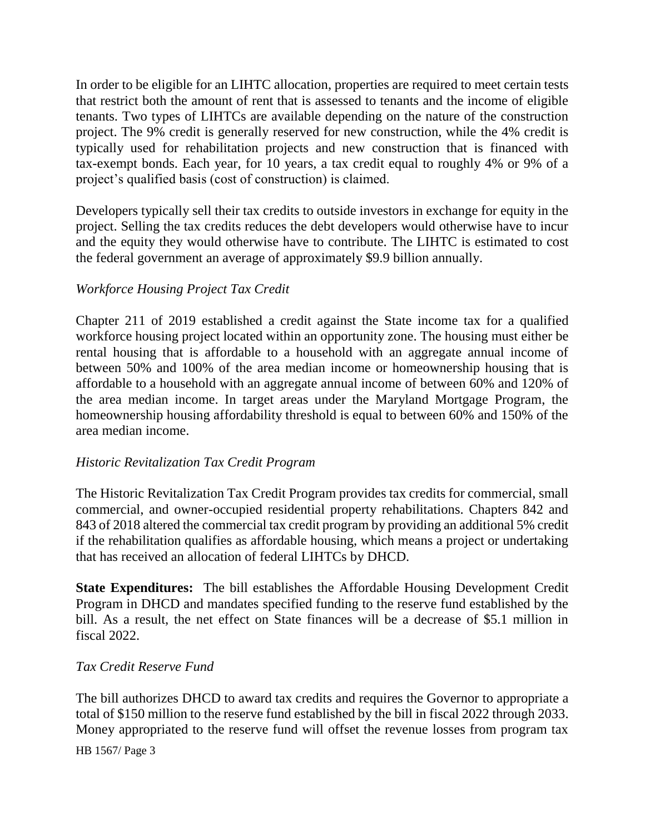In order to be eligible for an LIHTC allocation, properties are required to meet certain tests that restrict both the amount of rent that is assessed to tenants and the income of eligible tenants. Two types of LIHTCs are available depending on the nature of the construction project. The 9% credit is generally reserved for new construction, while the 4% credit is typically used for rehabilitation projects and new construction that is financed with tax-exempt bonds. Each year, for 10 years, a tax credit equal to roughly 4% or 9% of a project's qualified basis (cost of construction) is claimed.

Developers typically sell their tax credits to outside investors in exchange for equity in the project. Selling the tax credits reduces the debt developers would otherwise have to incur and the equity they would otherwise have to contribute. The LIHTC is estimated to cost the federal government an average of approximately \$9.9 billion annually.

### *Workforce Housing Project Tax Credit*

Chapter 211 of 2019 established a credit against the State income tax for a qualified workforce housing project located within an opportunity zone. The housing must either be rental housing that is affordable to a household with an aggregate annual income of between 50% and 100% of the area median income or homeownership housing that is affordable to a household with an aggregate annual income of between 60% and 120% of the area median income. In target areas under the Maryland Mortgage Program, the homeownership housing affordability threshold is equal to between 60% and 150% of the area median income.

### *Historic Revitalization Tax Credit Program*

The Historic Revitalization Tax Credit Program provides tax credits for commercial, small commercial, and owner-occupied residential property rehabilitations. Chapters 842 and 843 of 2018 altered the commercial tax credit program by providing an additional 5% credit if the rehabilitation qualifies as affordable housing, which means a project or undertaking that has received an allocation of federal LIHTCs by DHCD.

**State Expenditures:** The bill establishes the Affordable Housing Development Credit Program in DHCD and mandates specified funding to the reserve fund established by the bill. As a result, the net effect on State finances will be a decrease of \$5.1 million in fiscal 2022.

#### *Tax Credit Reserve Fund*

The bill authorizes DHCD to award tax credits and requires the Governor to appropriate a total of \$150 million to the reserve fund established by the bill in fiscal 2022 through 2033. Money appropriated to the reserve fund will offset the revenue losses from program tax

HB 1567/ Page 3